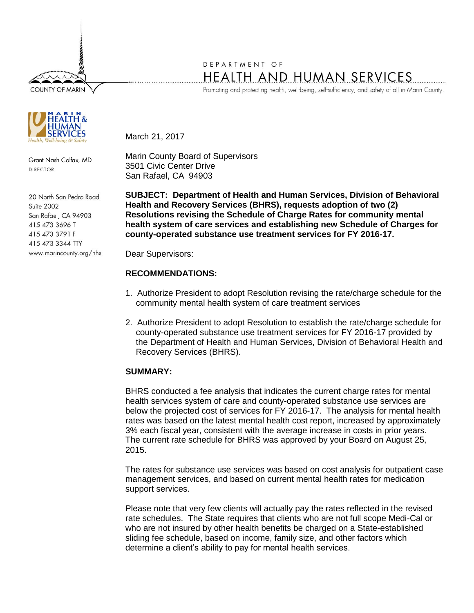**COUNTY OF MARIN** 



Grant Nash Colfax, MD DIRECTOR

20 North San Pedro Road Suite 2002 San Rafael, CA 94903 415 473 3696 T 415 473 3791 F 415 473 3344 TTY www.marincounty.org/hhs

## DEPARTMENT OF HEALTH AND HUMAN SERVICES

Promoting and protecting health, well-being, self-sufficiency, and safety of all in Marin County.

March 21, 2017

Marin County Board of Supervisors 3501 Civic Center Drive San Rafael, CA 94903

**SUBJECT: Department of Health and Human Services, Division of Behavioral Health and Recovery Services (BHRS), requests adoption of two (2) Resolutions revising the Schedule of Charge Rates for community mental health system of care services and establishing new Schedule of Charges for county-operated substance use treatment services for FY 2016-17.**

Dear Supervisors:

## **RECOMMENDATIONS:**

- 1. Authorize President to adopt Resolution revising the rate/charge schedule for the community mental health system of care treatment services
- 2. Authorize President to adopt Resolution to establish the rate/charge schedule for county-operated substance use treatment services for FY 2016-17 provided by the Department of Health and Human Services, Division of Behavioral Health and Recovery Services (BHRS).

## **SUMMARY:**

BHRS conducted a fee analysis that indicates the current charge rates for mental health services system of care and county-operated substance use services are below the projected cost of services for FY 2016-17. The analysis for mental health rates was based on the latest mental health cost report, increased by approximately 3% each fiscal year, consistent with the average increase in costs in prior years. The current rate schedule for BHRS was approved by your Board on August 25, 2015.

The rates for substance use services was based on cost analysis for outpatient case management services, and based on current mental health rates for medication support services.

Please note that very few clients will actually pay the rates reflected in the revised rate schedules. The State requires that clients who are not full scope Medi-Cal or who are not insured by other health benefits be charged on a State-established sliding fee schedule, based on income, family size, and other factors which determine a client's ability to pay for mental health services.